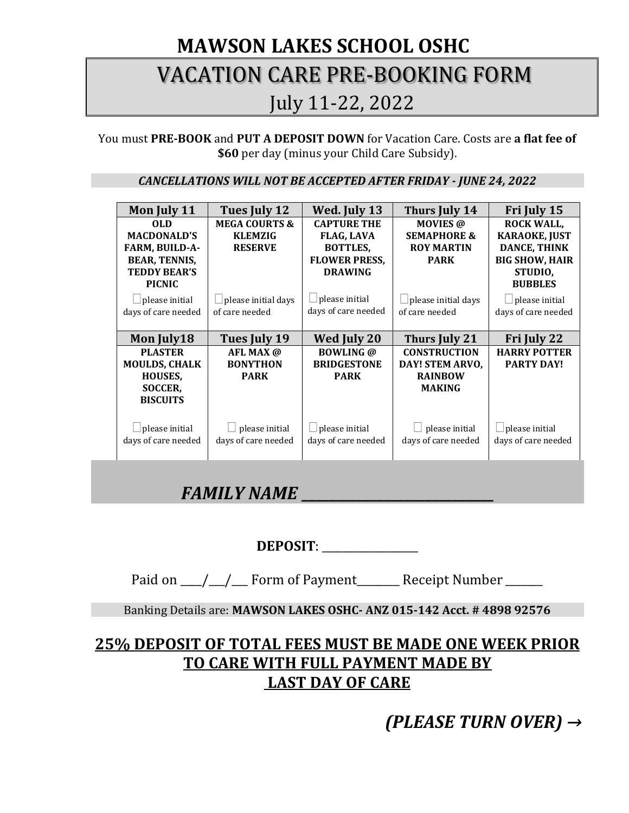## **MAWSON LAKES SCHOOL OSHC**

# VACATION CARE PRE-BOOKING FORM July 11-22, 2022

You must **PRE-BOOK** and **PUT A DEPOSIT DOWN** for Vacation Care. Costs are **a flat fee of \$60** per day (minus your Child Care Subsidy).

#### *CANCELLATIONS WILL NOT BE ACCEPTED AFTER FRIDAY - JUNE 24, 2022*

| Mon July 11           | Tues July 12               | Wed. July 13          | Thurs July 14          | Fri July 15           |
|-----------------------|----------------------------|-----------------------|------------------------|-----------------------|
| 0LD                   | <b>MEGA COURTS &amp;</b>   | <b>CAPTURE THE</b>    | <b>MOVIES</b> @        | <b>ROCK WALL,</b>     |
| <b>MACDONALD'S</b>    | <b>KLEMZIG</b>             | <b>FLAG, LAVA</b>     | <b>SEMAPHORE &amp;</b> | <b>KARAOKE, JUST</b>  |
| <b>FARM, BUILD-A-</b> | <b>RESERVE</b>             | <b>BOTTLES,</b>       | <b>ROY MARTIN</b>      | <b>DANCE, THINK</b>   |
| <b>BEAR, TENNIS,</b>  |                            | <b>FLOWER PRESS,</b>  | <b>PARK</b>            | <b>BIG SHOW, HAIR</b> |
| <b>TEDDY BEAR'S</b>   |                            | <b>DRAWING</b>        |                        | STUDIO,               |
| <b>PICNIC</b>         |                            |                       |                        | <b>BUBBLES</b>        |
| please initial        | $\Box$ please initial days | $\Box$ please initial | please initial days    | $\Box$ please initial |
| days of care needed   | of care needed             | days of care needed   | of care needed         | days of care needed   |
|                       |                            |                       |                        |                       |
| Mon July18            | Tues July 19               | Wed July 20           | Thurs July 21          | Fri July 22           |
| <b>PLASTER</b>        | AFL MAX @                  | <b>BOWLING</b> @      | <b>CONSTRUCTION</b>    | <b>HARRY POTTER</b>   |
| <b>MOULDS, CHALK</b>  | <b>BONYTHON</b>            | <b>BRIDGESTONE</b>    | DAY! STEM ARVO,        | <b>PARTY DAY!</b>     |
| <b>HOUSES,</b>        | <b>PARK</b>                | <b>PARK</b>           | <b>RAINBOW</b>         |                       |
| SOCCER,               |                            |                       | <b>MAKING</b>          |                       |
| <b>BISCUITS</b>       |                            |                       |                        |                       |
|                       |                            |                       |                        |                       |
| please initial        | please initial             | $\Box$ please initial | $\Box$ please initial  | $\Box$ please initial |
| days of care needed   | days of care needed        | days of care needed   | days of care needed    | days of care needed   |
|                       |                            |                       |                        |                       |

## *FAMILY NAME* **\_\_\_\_\_\_\_\_\_\_\_\_\_\_\_\_\_\_\_\_\_\_\_\_\_\_\_\_**

**DEPOSIT**: \_\_\_\_\_\_\_\_\_\_\_\_\_\_\_\_\_\_

Paid on  $\_\_\/$  Form of Payment Receipt Number

Banking Details are: **MAWSON LAKES OSHC- ANZ 015-142 Acct. # 4898 92576**

## **25% DEPOSIT OF TOTAL FEES MUST BE MADE ONE WEEK PRIOR TO CARE WITH FULL PAYMENT MADE BY LAST DAY OF CARE**

*(PLEASE TURN OVER) →*